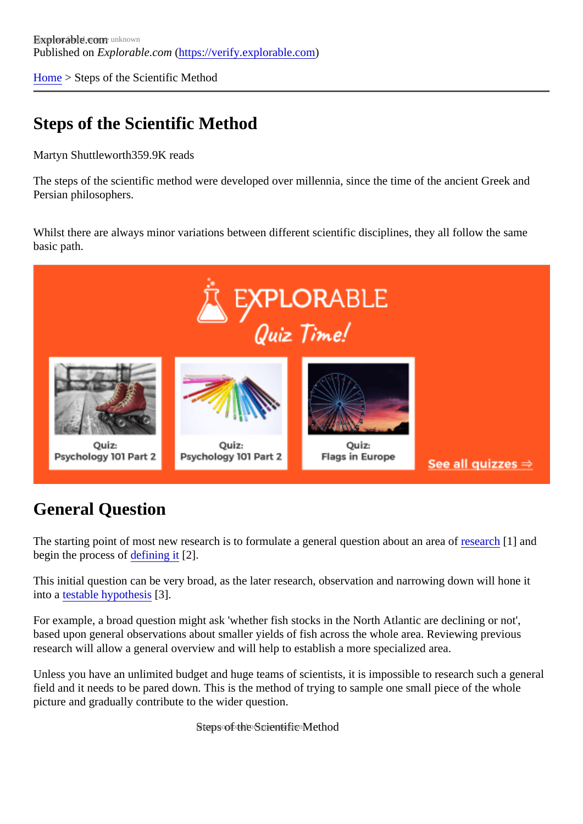[Home](https://verify.explorable.com/) > Steps of the Scientific Method

## Steps of the Scientific Method

Martyn Shuttlewort<sup>859.9K</sup> reads

The steps of the scientific method were developed over millennia, since the time of the ancient Greek and Persian philosophers.

Whilst there are always minor variations between different scientific disciplines, they all follow the same basic path.

#### General Question

The starting point of most new research is to formulate a general question about a[n area o](https://verify.explorable.com/what-is-research)f 1] and begin the process of efining it  $[2]$ .

This initial question can be very broad, as the later research, observation and narrowing down will hone it into a [testable hypothes](https://verify.explorable.com/hypothesis-testing)<sup>[3]</sup>.

For example, a broad question might ask 'whether fish stocks in the North Atlantic are declining or not', based upon general observations about smaller yields of fish across the whole area. Reviewing previous research will allow a general overview and will help to establish a more specialized area.

Unless you have an unlimited budget and huge teams of scientists, it is impossible to research such a ger field and it needs to be pared down. This is the method of trying to sample one small piece of the whole picture and gradually contribute to the wider question.

Steps of the Scientific Method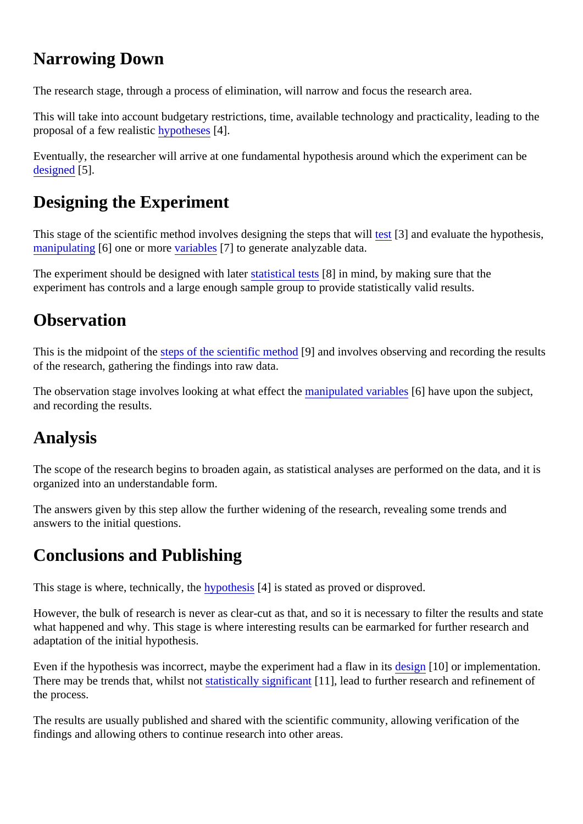## Narrowing Down

The research stage, through a process of elimination, will narrow and focus the research area.

This will take into account budgetary restrictions, time, available technology and practicality, leading to the proposal of a few realistic ypotheses 4].

Eventually, the researcher will arrive at one fundamental hypothesis around which the experiment can be [designed](https://verify.explorable.com/design-of-experiment)<sub>5</sub>].

# Designing the Experiment

This stage of the scientific method involves designing the steps th[at w](https://verify.explorable.com/hypothesis-testing)ill and evaluate the hypothesis, [manipulating](https://verify.explorable.com/independent-variable) 6] one or more ariables [7] to generate analyzable data.

The experiment should be designed with later stical test<sup>88</sup>l in mind, by making sure that the experiment has controls and a large enough sample group to provide statistically valid results.

#### **Observation**

This is the midpoint of the teps of the scientific methologe and involves observing and recording the results of the research, gathering the findings into raw data.

The observation stage involves looking at what effect the ipulated variables have upon the subject, and recording the results.

#### Analysis

The scope of the research begins to broaden again, as statistical analyses are performed on the data, and organized into an understandable form.

The answers given by this step allow the further widening of the research, revealing some trends and answers to the initial questions.

## Conclusions and Publishing

This stage is where, technically, the pothesis<sup>[4]</sup> is stated as proved or disproved.

However, the bulk of research is never as clear-cut as that, and so it is necessary to filter the results and s what happened and why. This stage is where interesting results can be earmarked for further research and adaptation of the initial hypothesis.

Even if the hypothesis was incorrect, maybe the experiment had a fla[w in its](https://verify.explorable.com/research-designs) 10] or implementation. There may be trends that, whilst receptionally significant [11], lead to further research and refinement of the process.

The results are usually published and shared with the scientific community, allowing verification of the findings and allowing others to continue research into other areas.